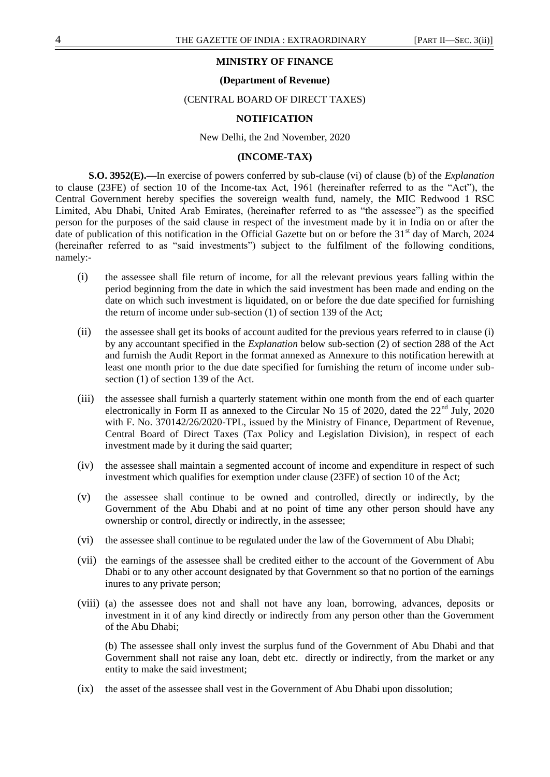## **MINISTRY OF FINANCE**

#### **(Department of Revenue)**

#### (CENTRAL BOARD OF DIRECT TAXES)

#### **NOTIFICATION**

New Delhi, the 2nd November, 2020

### **(INCOME-TAX)**

**S.O. 3952(E).—**In exercise of powers conferred by sub-clause (vi) of clause (b) of the *Explanation* to clause (23FE) of section 10 of the Income-tax Act, 1961 (hereinafter referred to as the "Act"), the Central Government hereby specifies the sovereign wealth fund, namely, the MIC Redwood 1 RSC Limited, Abu Dhabi, United Arab Emirates, (hereinafter referred to as "the assessee") as the specified person for the purposes of the said clause in respect of the investment made by it in India on or after the date of publication of this notification in the Official Gazette but on or before the  $31<sup>st</sup>$  day of March, 2024 (hereinafter referred to as "said investments") subject to the fulfilment of the following conditions, namely:-

- (i) the assessee shall file return of income, for all the relevant previous years falling within the period beginning from the date in which the said investment has been made and ending on the date on which such investment is liquidated, on or before the due date specified for furnishing the return of income under sub-section (1) of section 139 of the Act;
- (ii) the assessee shall get its books of account audited for the previous years referred to in clause (i) by any accountant specified in the *Explanation* below sub-section (2) of section 288 of the Act and furnish the Audit Report in the format annexed as Annexure to this notification herewith at least one month prior to the due date specified for furnishing the return of income under subsection (1) of section 139 of the Act.
- (iii) the assessee shall furnish a quarterly statement within one month from the end of each quarter electronically in Form II as annexed to the Circular No 15 of 2020, dated the  $22<sup>nd</sup>$  July, 2020 with F. No. 370142/26/2020-TPL, issued by the Ministry of Finance, Department of Revenue, Central Board of Direct Taxes (Tax Policy and Legislation Division), in respect of each investment made by it during the said quarter;
- (iv) the assessee shall maintain a segmented account of income and expenditure in respect of such investment which qualifies for exemption under clause (23FE) of section 10 of the Act;
- (v) the assessee shall continue to be owned and controlled, directly or indirectly, by the Government of the Abu Dhabi and at no point of time any other person should have any ownership or control, directly or indirectly, in the assessee;
- (vi) the assessee shall continue to be regulated under the law of the Government of Abu Dhabi;
- (vii) the earnings of the assessee shall be credited either to the account of the Government of Abu Dhabi or to any other account designated by that Government so that no portion of the earnings inures to any private person;
- (viii) (a) the assessee does not and shall not have any loan, borrowing, advances, deposits or investment in it of any kind directly or indirectly from any person other than the Government of the Abu Dhabi;

(b) The assessee shall only invest the surplus fund of the Government of Abu Dhabi and that Government shall not raise any loan, debt etc. directly or indirectly, from the market or any entity to make the said investment;

(ix) the asset of the assessee shall vest in the Government of Abu Dhabi upon dissolution;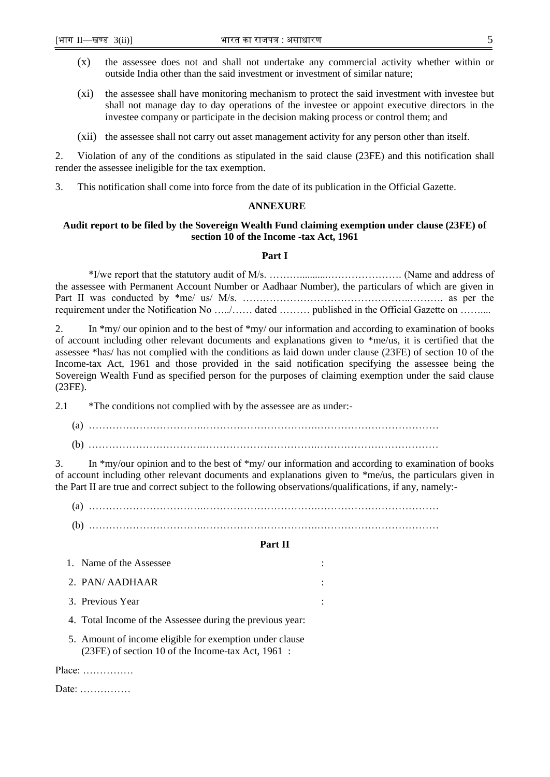- (x) the assessee does not and shall not undertake any commercial activity whether within or outside India other than the said investment or investment of similar nature;
- (xi) the assessee shall have monitoring mechanism to protect the said investment with investee but shall not manage day to day operations of the investee or appoint executive directors in the investee company or participate in the decision making process or control them; and
- (xii) the assessee shall not carry out asset management activity for any person other than itself.

2. Violation of any of the conditions as stipulated in the said clause (23FE) and this notification shall render the assessee ineligible for the tax exemption.

3. This notification shall come into force from the date of its publication in the Official Gazette.

### **ANNEXURE**

# **Audit report to be filed by the Sovereign Wealth Fund claiming exemption under clause (23FE) of section 10 of the Income -tax Act, 1961**

## **Part I**

\*I/we report that the statutory audit of M/s. ………...........…………………. (Name and address of the assessee with Permanent Account Number or Aadhaar Number), the particulars of which are given in Part II was conducted by \*me/ us/ M/s. …………………………………………..………. as per the requirement under the Notification No …../…… dated ……… published in the Official Gazette on ……....

2. In \*my/ our opinion and to the best of \*my/ our information and according to examination of books of account including other relevant documents and explanations given to \*me/us, it is certified that the assessee \*has/ has not complied with the conditions as laid down under clause (23FE) of section 10 of the Income-tax Act, 1961 and those provided in the said notification specifying the assessee being the Sovereign Wealth Fund as specified person for the purposes of claiming exemption under the said clause (23FE).

2.1 \*The conditions not complied with by the assessee are as under:-

(a) …………………………….…………………………….……………………………… (b) …………………………….…………………………….………………………………

3. In \*my/our opinion and to the best of \*my/ our information and according to examination of books of account including other relevant documents and explanations given to \*me/us, the particulars given in the Part II are true and correct subject to the following observations/qualifications, if any, namely:-

(a) …………………………….…………………………….………………………………

(b) …………………………….…………………………….………………………………

# **Part II**

| 1. Name of the Assessee                                                                                                                                                                                                                                                                                                            |  |
|------------------------------------------------------------------------------------------------------------------------------------------------------------------------------------------------------------------------------------------------------------------------------------------------------------------------------------|--|
| 2. PAN/AADHAAR                                                                                                                                                                                                                                                                                                                     |  |
| 3. Previous Year                                                                                                                                                                                                                                                                                                                   |  |
| $\overline{A}$ and $\overline{A}$ and $\overline{A}$ and $\overline{A}$ and $\overline{A}$ and $\overline{A}$ and $\overline{A}$ and $\overline{A}$ and $\overline{A}$ and $\overline{A}$ and $\overline{A}$ and $\overline{A}$ and $\overline{A}$ and $\overline{A}$ and $\overline{A}$ and $\overline{A}$ and $\overline{A}$ and |  |

4. Total Income of the Assessee during the previous year:

5. Amount of income eligible for exemption under clause (23FE) of section 10 of the Income-tax Act, 1961 :

Place: ……………

Date: ……………